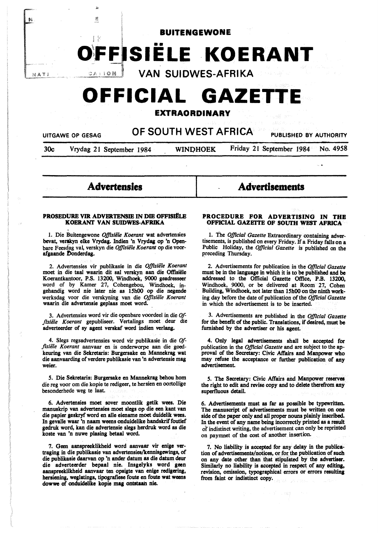

# **O~FFISIELE KOERANT**

NATI

鱊

VAN SUIDWES-AFRIKA

# **OFFICIAL GAZETT**

# **EXTRAORDINARY**

UITGAWE OP GESAG **OF SOUTH WEST AFRICA** PUBLISHED BY AUTHORITY

E

30c Vrydag 21 September 1984 WINDHOEK Friday 21 September 1984 No. 4958

 $\ddotsc$ 

**Advertensles** 

**Advertisements** 

# **PROSEDUltE VIR ADVER1ENSIE** IN **DIE OFFISJflLE**

1. Die Buitengewone *Offisiële Koerant* wat advertensies bevat, verskyn elke Vrydag. Indien 'n Vrydag op 'n Openbare Feesdag val, verskyn die *Offisiële Koerant* op die voorafgaande Donderdag.

2. Advertensies vir publikasie in die *Offisiele Koerant*  moet in die taal waarin dit sal verskyn aan die Offisiële Koerantkantoor, P.S. 13200, Wmdhoek, **9000 geadresseer**  word of by Kamer 27, Cohengebou, Windhoek, ingehandig word nie later nie as 15h00 op die negende werksdag voor die verskyning van die *Offisiele Koerant*  waarin die advertensie geplaas moet word.

3. Advertensies word vir die openbare voordeel in die *Of*fisiële Koerant gepubliseer. Vertalings moet deur die adverteerder of sy agent verskaf word indien verlang.

4. Slegs regsadvertensies word vir publikasie in die *Offlsiile Koerant* aanvaar en is onderworpe aan die goedkeuring van die Sekretaris: Burgersake en Mannekrag wat die aanvaarding of verdere publikasie van 'n advertensie mag weier.

*S.* Die Sekretaris: Burgersake en Mannekrag behou hom die reg voor om die kopie te redigeer, te hersien en oortollige besonderhede weg te laat.

6. Advertensies moet sover moontlik getik wees. Die manuskrip van advertensies moet slegs op die een kant van die papier geskryf word en alle eiename moet duidelik wees. In gevalle waar 'n naam weens onduidelike handskrif foutief gedruk word, kan die advertensie slegs herdruk word as die koste van 'n nuwe plasing betaal word.

7. Geen aanspreeklikheid word aanvaar vir enige vertraging in die publikasie van advertensies/kennisgewings, of die publikasie daarvan op 'n ander datum as die datum deur die adverteerder bepaal nie. Insgelyks word geen aanspreeklikheid aanvaar ten opsigte van enige redigering, hersiening, weglatings, tipografiese foute en foute wat weens dowwe of onduidelike kopie mag ontstaan nie.

# **PROCEDURE FOR ADVERTISING IN THE OFFICIAL GAZETTE OF SOUTH WEST AFRICA**

1. The *Official Gazette* Extraordinary containing advertisements, is published on every Friday. If a Friday falls on a Public Holiday, the *Official Gazette* is published on the preceding Thursday.

2. Advertisements for publication in the *Official Gazette*  must be in the language in which it is to be published **and be**  addressed to the Official Gazette Office, P.B. 13200, Windhoek, 9000, or be delivered at Room 27, Cohen Building, Windhoek, not later than 15h00 on the ninth working day before the date of publication of the *Official Gazette*  in which the advertisement is to be inserted.

3. Advertisements are published in the *Official Gazette*  for the benefit of the public. Translations, if desired, must be furnished by the advertiser or his agent.

4. Only legal advertisements shall be accepted for publication in the *Official Gazette* and are subject to the approval of the Secretary: Civic Affairs and Manpower who may refuse the acceptance or further publication of any advertisement.

*S.* The Secretary: Civic Affairs and Manpower reserves the right to edit and revise copy and to delete therefrom any superfluous detail.

6. Advertisements must as far as possible be typewritten. The manuscript of advertisements must be written on one side of the paper only and all proper nouns plainly inscribed. In the event of any name being incorrectly printed as a result of indistinct writing, the advertisement can only be reprinted on paymnet of the cost of another insertion.

7. No liability is accepted for any delay in the publication of advertisements/notices, or for the publication of such on any date other than that stipulated by the advertiser. Similarly no liability is accepted in respect of any editing, revision, omission, typographical errors or errors resulting from faint or indistinct copy.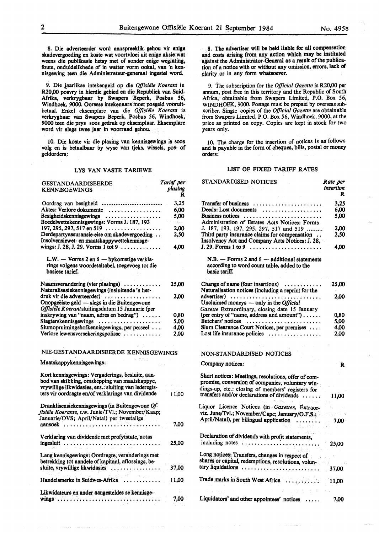*Tarlef per* 

8. Die adverteerder word aanspreeklik gehou vir enige skadevergoeding en koste wat voortvloei uit enige aksie wat weens die publikasie hetsy met of sonder enige weglating, foute, onduidelikhede of in watter vorm ookal, van 'n kennisgewing teen die Administrateur-generaal ingestel word.

9. Die jaarlikse intekengeld op die *Offisiele Koerant* is R20,00 posvry in hierdie **gebied** en die Republiek van Suid-Afrika, verkrygbaar by Swapers Beperk, Posbus *56,*  Windhoek, 9000. Oorsese intekenaars moet posgeld vooruitbetaal. Enke! eksemplare van die *Oj]lsie1e Koerant* is verkrygbaar van Swapers Beperk, Posbus *56,* Windhoek, 9000 teen die prys soos gedruk op eksemplaar. Eksemplare word vir slegs twee jaar in voorraad gehou.

I 0. Die koste vir die plasing van kennisgewings is soos volg en is betaalbaar by wyse van tjeks, wissels, pos- of geldorders:

# LYS VAN VASTE TARIEWE

| GESTANDAARDISEERDE                                                                                                             | Tarief per   |
|--------------------------------------------------------------------------------------------------------------------------------|--------------|
| <b>KENNISGEWINGS</b>                                                                                                           | plasing<br>R |
|                                                                                                                                | 3,25         |
| Aktes: Verlore dokumente                                                                                                       | 6,00         |
| Besigheidskennisgewings                                                                                                        | 5,00         |
| Boedelwettekennisgewings: Vorms J. 187, 193                                                                                    | 日常く。         |
| $197, 295, 297, 517$ en 519 $\ldots \ldots \ldots \ldots \ldots$                                                               | 2,00         |
| Derdepartyassuransie-eise om skadevergoeding<br>Insolvensiewet- en maatskappywettekennisge-                                    | 2,50         |
| wings: J. 28, J. 29. Vorms 1 tot $9 \ldots \ldots \ldots$                                                                      | 4,00         |
| L.W. — Vorms 2 en 6 — bykomstige verkla-<br>rings volgens woordetaltabel, toegevoeg tot die<br>basiese tarief.                 |              |
| Naamsverandering (vier plasings) $\dots\dots\dots\dots$<br>Naturalisasiekennisgewings (insluitende 'n her-                     | 25,00        |
| druk vir die adverteerder)<br>Onopgeëiste geld — slegs in die Buitengewone<br>Offisiële Koerantsluitingsdatum 15 Januarie (per | 2.00         |
| inskrywing van "naam, adres en bedrag")                                                                                        | 0,80         |
| Slagterskennisgewings                                                                                                          | 5,00         |
| Slumopruimingshofkennisgewings, per perseel                                                                                    | 4,00         |
| Verlore lewensversekeringspolisse                                                                                              | 2,00         |
| NIE-GESTANDAARDISEERDE KENNISGEWINGS                                                                                           |              |
| ティン 情報のあいた<br><b>National According to the continue of the Community Community</b>                                             |              |

#### Maatskappykennisgewings:

| Kort kennisgewings: Vergaderings, besluite, aan-<br>bod van skikking, omskepping van maatskappye,<br>vrywillige likwidasies, ens.: sluiting van lederegis-<br>ters vir oordragte en/of verklarings van dividende | 1 1,00 |
|------------------------------------------------------------------------------------------------------------------------------------------------------------------------------------------------------------------|--------|
| Dranklisensiekennisgewings (in Buitengewone Of-<br>fisiële Koerante, t.w. Junie/TVl.; November/Kaap;<br>Januarie/OVS; April/Natal) per tweetalige                                                                |        |
| aansoek<br>. <i>.</i> .                                                                                                                                                                                          | 7.00   |
| Verklaring van dividende met profytstate, notas<br>ingesluit                                                                                                                                                     | 25,00  |
| Lang kennisgewings: Oordragte, veranderings met<br>betrekking tot aandele of kapitaal, aflossings, be-                                                                                                           |        |
| sluite, vrvwillige likwidasies                                                                                                                                                                                   | 37,00  |
| Handelsmerke in Suidwes-Afrika                                                                                                                                                                                   | 11,00  |
| Likwidateurs en ander aangesteldes se kennisge-<br>wings                                                                                                                                                         | 7.00   |

8. The advertiser will be held liable for all compensation and costs **arising** from any action which may be instituted against the Administrator-General as a result of the publication of a notice with or without any omission, errors, lack of clarity or in any form **whatsoever.** 

9. The subscription for the *Official Gazette* is R20,00 per annum, post free in this territory and the Republic of South Africa, obtainable from Swapers Limited, P.O. Box 56, WINDHOEK, 9000. Postage must be prepaid by overseas subscriber. Single copies of the *Official Gazette* are obtainable from Swapers Limited, P.O. Box 56, Windhoek, 9000, at the price as printed on copy. Copies are kept in stock for two years only.

10. The charge for the insertion of notices is as follows and is payable in the form of cheques, bills, postal or money orders:

#### LIST OF FIXED TARIFF RATES

| STANDARDISED NOTICES                                                                                                                                         | Rate per<br>insertion<br>R |
|--------------------------------------------------------------------------------------------------------------------------------------------------------------|----------------------------|
| Transfer of business<br>. <i>. .</i>                                                                                                                         | 3,25                       |
| Deeds: Lost documents                                                                                                                                        | 6,00                       |
| Business notices<br>Administration of Estates Acts Notices: Forms                                                                                            | 5.00                       |
| J. 187, 193, 197, 295, 297, 517 and 519                                                                                                                      | 2,00                       |
| Third party insurance claims for compensation<br>Insolvency Act and Company Acts Notices: J. 28,                                                             | 2,50                       |
|                                                                                                                                                              | 4.00                       |
| $N.B.$ - Forms 2 and $6$ - additional statements<br>according to word count table, added to the<br>basic tariff.                                             |                            |
| Change of name (four insertions)<br>Naturalisation notices (including a reprint for the                                                                      | 25,00                      |
| advertiser)<br>Unclaimed moneys - only in the Official                                                                                                       | 2.00                       |
| Gazette Extraordinary, closing date 15 January                                                                                                               |                            |
| (per entry of "name, address and amount")                                                                                                                    | 0.80                       |
| Butchers' notices                                                                                                                                            | 5,00                       |
| Slum Clearance Court Notices, per premises                                                                                                                   | 4,00                       |
| Lost life insurance policies $\ldots, \ldots, \ldots, \ldots$                                                                                                | 2.00                       |
| NON-STANDARDISED NOTICES                                                                                                                                     |                            |
| Company notices:                                                                                                                                             | R                          |
| Short notices: Meetings, resolutions, offer of com-<br>promise, conversion of companies, voluntary win-<br>dings-up, etc.: closing of members' registers for |                            |
| transfers and/or declarations of dividends                                                                                                                   | 11,00                      |
| Liquor Licence Notices (in Gazettes, Extraor-<br>viz. June/Tvl.; November/Cape; January/O.F.S.;                                                              |                            |
| April/Natal), per bilingual application<br>1.7.1.1.1.1                                                                                                       | 7,00                       |
| Declaration of dividends with profit statements,                                                                                                             | 25.00                      |
| Long notices: Transfers, changes in respect of<br>shares or capital, redemptions, resolutions, volun-                                                        |                            |
| tary liquidations                                                                                                                                            | 37,00                      |
| Trade marks in South West Africa                                                                                                                             | 11,00                      |
| Liquidators' and other appointees' notices                                                                                                                   | 7,00                       |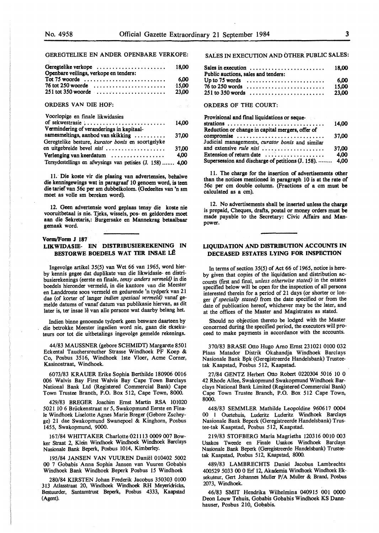GEREGTELIKE EN ANDER OPENBARE VERKOPE:

| Geregtelike verkope<br>Openbare veilings, verkope en tenders:           | 18.00                        |
|-------------------------------------------------------------------------|------------------------------|
| Tot 75 woorde $\dots\dots\dots\dots\dots\dots\dots\dots\dots\dots\dots$ | 6.00                         |
| $76$ tot 250 woorde                                                     | 15,00                        |
| $251$ tot 350 woorde                                                    | 23,00                        |
| <b>ORDERS VAN DIE HOF:</b>                                              | $\mathcal{H}_{\mathrm{eff}}$ |
| Voorlopige en finale likwidasies                                        |                              |
| of sekwestrasie :                                                       | 14.00                        |
| Vermindering of veranderings in kapitaal-                               |                              |
| samesmeltings, aanbod van skikking                                      | 37.00                        |
| Geregtelike besture, kurator bonis en soortgelyke                       |                              |
| en uitgebreide bevel nisi                                               | 37,00                        |
| Verlenging van keerdatum                                                | 4.00                         |
| Tersydestellings en afwysings van petisies (J. 158)                     | 4.00                         |

11. Die koste vir die plasing van advertensies, behalwe die kennisgewings wat in paragraaf 10 genoem word, is teen die tarief van 56c per sm dubbelkolom. (Gedeeltes van 'n sm moet as voile sm bereken word).

12. Geen advertensie word geplaas tensy die koste nie aan die Sekretaris,: Burgersake en Mannekrag betaalbaar gemaak word.

#### **Vorm/Form J 187**

# **LIKWIDASIE- EN DISTRIBUSIEREKENING IN BESTORWE BOEDELS WAT TER INSAE L£**

Ingevolge artikel 35(5) van Wet 66 van 1965, word bierby kennis gegee dat duplikate van die likwidasie- en distribusierekenings (eerste en finale, *tensy anders vermeld)* in die boedels hieronder vermeld, in die kantore van die Meester en Landdroste soos vermeld en gedurende 'n tydperk van 21 dae (of korter of !anger *indien spesiaal vermeld)* vanaf gemelde datums of vanaf datum van publikasie hiervan, as dit later is, ter insae lê van alle persone wat daarby belang het.

Indien binne genoemde tydperk geen besware daarteen by die betrokke\_ Meester ingedien word nie, gaan die eksekuteurs oor tot die uitbetalings ingevolge gemelde rekenings.

44/83 MAUSSNER (gebore SCHMIDT) Margarete 8501 Eckental Tauchersreuther Strasse Windhoek PF Koep & Co, Posbus 3516, Windhoek lste Vloer, Acme Corner, Kasinostraat, Windhoek.

6073/83 **KRAUER** Erike Sophia Berthilde 180906 0016 006 Walvis Bay First Walvis Bay Cape Town Barclays National Bank Ltd (Registered Commercial Bank) Cape Town Trustee Branch, P.O. Box 512, Cape Town, 8000.

429/83 BREGER Joachim Ernst **Martin RSA** 101020 502110 6 Briickenstraat nr *5,* Swakopmund Eerste en Finale Windhoek Liselotte Agnes Marie Breger (Gebore Zscheyge) 21 dae Swakopmund Swanepoel & Kinghorn, Posbus 1455, Swakopmund, 9000.

167/84 WHITTAKER Charlotte 021113 0009 007 Bowker Straat 2, Klein Windhoek Windhoek Windhoek Barclays Nasionale Bank Beperk, Posbus 1014, Kimberley.

195/84 JANSEN VAN VUUREN Daniel 010402 5002 00 7 Gobabis Anna Sophia Jansen van Vuuren Gobabis Windhoek Bank Windhoek Beperk Posbus 15 Windhoek

280/84 KIRSTEN Johan Frederik Jacobus 350303 0100 313 Atlasstraat 20, Windhoek Windhoek RH Meyeridricks, Bestuurder, Santamtrust Beperk, Posbus 4333, Kaapstad (Agent).

SALES IN EXECUTION AND OTHER PUBLIC SALES:

| Sales in execution $\dots \dots \dots \dots \dots \dots \dots \dots \dots$ 18,00<br>Public auctions, sales and tenders: |  |  |  |  |  |  |  |  |  |  |  |  |  |       |
|-------------------------------------------------------------------------------------------------------------------------|--|--|--|--|--|--|--|--|--|--|--|--|--|-------|
| Up to 75 words $\dots\dots\dots\dots\dots\dots\dots\dots\dots\dots$                                                     |  |  |  |  |  |  |  |  |  |  |  |  |  | -6.00 |
| $76$ to 250 words                                                                                                       |  |  |  |  |  |  |  |  |  |  |  |  |  | 15.00 |
|                                                                                                                         |  |  |  |  |  |  |  |  |  |  |  |  |  |       |

ORDERS OF THE COURT:

| <b>Provisional and final liquidations or seque-</b>       | 14,00 |
|-----------------------------------------------------------|-------|
| Reduction or change in capital mergers, offer of          |       |
| compromise                                                | 37,00 |
| Judicial managements, curator bonis and similar           |       |
| and extensive <i>rule nisi</i>                            | 37.00 |
| Extension of return date $\dots\dots\dots\dots\dots\dots$ | 4,00  |
| Supersession and discharge of petitions (J. 158).  4,00   |       |

11. The charge for the insertion of advertisements other than the notices mentioned in paragraph 10 is at the rate of 56c per cm double column. (Fractions of a cm must **be**  calculated as a cm).

12. No advertisements shall **be inserted** unless the **charge**  is prepaid, Cheques, drafts, postal or money orders must be made payable to the Secretary: Civic Affairs and Manpower.

# **LIQUIDATION AND DISTRIBUTION ACCOUNTS IN DECEASED ESTATES LYING FOR INSPECTION**

In terms of section 35(5) of Act 66 of 1965, notice is hereby given that copies of the liquidation and distribution accounts (first and final, *unless otherwise stated)* in the estates specified below **will be** open for the inspection of all persons interested therein for a period of 21 days (or shorter or longer If *specially stated)* from the date specified or from the date of publication hereof, whichever may be the later, and at the offices of the Master and Magistrates as stated.

Should no objection thereto be lodged with the Master concerned during the specified period, the executors will proceed to make payments in accordance with the accounts.

370/83 BRASE Otto Hugo Arno Ernst 2310210100032 Plaas Matador Distrik Okahandja Windhoek Barclays Nasionale Bank Bpk (Geregistreerde Handelsbank) Trusteetak Kaapstad, Posbus 512, Kaapstad.

27/84 GENTZ Herbert Otto Robert 0220304 5016 IO 0 42 Rhode Allee, Swakopmund Swakopmund Windhoek Barclays National Bank Limited (Registered Commercial Bank) Cape Town Trustee Branch, P.O. Box 512 Cape Town, 8000.

448/83 SEMMLER Mathilde Leopoldine 960617 0004 00 1 Ouetehuis, Luderitz Luderitz Windhoek Barclays Nasionale Bank Beperk (Geregistreerde Handelsbank) Trustee-tak Kaapstad, Posbus 512, Kaapstad.

219/83 STOFBERG Maria Magrietha 120316 0010 003 Usakos Tweede en Finale Usakos Windhoek Barclays Nasionale Bank Beperk (Geregistreerde Handelsbank) Trusteetak Kaapstad, Posbus 512, Kaapstad, 8000.

489/83 LAMBRECHTS Daniel Jacobus Lambrechts 400529 5033 00 0 Erf 12, Akademia Windhoek Windhoek Eksekuteur, Gert Johannes Muller P/A Muller & Brand, Posbus 2073, Windhoek.

46/83 SMIT Hendrika Wilhelmina 040915 001 0000 Deon Louw Tehuis, Gobabis Gobabis Windhoek KS Dannhauser, Posbus 210, Gobabis.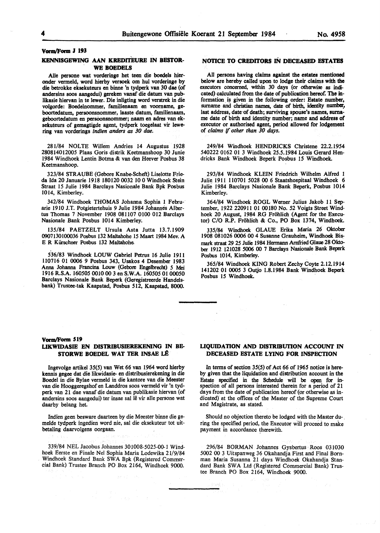#### VoravForm J 193

# **KENNISGEWING AAN KREDITEURE IN BESTOR-WE BOEDELS**

Alie persone wat vorderinge bet teen die boedels hieronder vermeld, word hierby versoek om hul vorderinge by die betrokke eksekuteurs en binne 'n tydperk van 30 dae (of andersins soos aangedui) **gereken** vanaf die datum van publikasie hiervan in te lewer. Die inligting word verstrek in die volgorde: Boedelnommer, familienaam en voorname, geboortedatum, persoonsnommer, laaste datum, familienaam, geboortedatum en persoonsnommer; naam en adres van eksekuteurs of gemagtigde agent, tydperk toegelaat vir lewering van vorderings *indten anders as 30 dae.* 

281/84 NOLTE Willem Andries 14 Augustus 1928 280814012005 Plaas Goris distrik Keetmanshoop 30 Junie 1984 Windhoek Lentin Botma & van den Heever Posbus 38 Keetmanshoop.

323/84 STRAUBE (Gebore Knabe-Scheft) Liselotte Frieda Ida 20 Januarie 1918 180120 0032 10 0 Windhoek Stein Straat 15 Julie 1984 Barclays Nasionale Bank Bpk Posbus 1014, Kimberley.

342/84 Windhoek THOMAS Johanna Sophia 1 Februarie 1910 J.T. Potgietertehuis 9 Julie 1984 Johannes Albertus Thomas 7 November 1908 081107 0100 012 Barclays Nasionale Bank Posbus 1014 Kimberley.

135/84 PAETZELT Ursula Asta Jutta 13.7.1909 0007130100036 Posbus 132 Maltahohe 15 Maart 1984 Mev. A E R Kürschner Posbus 132 Maltahohe.

5.36/83 Windhoek LOUW Gabriel Petrus 16 Julie 1911 110716 01 0006 9 Posbus 343, Usakos 4 Desember 1983 Anna Johanna Francina Louw (Gebore Engelbrecht) *5* Mei 1916 R.S.A. 160505 0010 00 3 en S.W.A. 160505 01 00050 Barclays Nasionale Bank Beperk (Geregistreerde Handelsbank) Trustee-tak Kaapstad, Posbus 512, Kaapstad, 8000.

# **NOTICE TO CREDITORS** IN **DECEASED ESTATES**

All persons having claims against the estates mentioned below are hereby called upon to lodge their claims with the executors concerned, within 30 days (or otherwise as indicated) calculated from the date of publication hereof. The information is given in the following order: Estate number, surname and christian names, date of birth, identity number, last address, date of death; surviving spouse's names, surname date of birth and identity number; name and address of executor or authorised agent, period allowed for lodgement of *claims* if *other than 30 days.* 

249/84 Windhoek HENDRICKS Christene 22.2.1954 540222 0162 01 3 Windhoek 25.5.1984 Louis Gerard Hendricks Bank Windhoek Beperk Posbus 15 Windhoek.

293/84 Windhoek KLEIN Friedrich Wilhelm Alfred 1 Julie.1911 110701 5028 00 6 Staatshospitaal Windhoek 6 Julie 1984 Barclays Nasionale Bank Beperk, Posbus 1014 Kimberley.

364/84 Windhoek ROGL Werner Julius Jakob 11 September, 1922 220911 01 00180 No. 52 Voigts Street Windhoek 20 August, 1984 RG Fröhlich (Agent for the Executor) C/O R.P. Frohlich & Co., PO Box 1374, Windhoek.

335/84 Windhoek GLAUE Erika Maria 26 Oktober 1908 081026 0006 00 4 Susanne Grauheim, Windhoek Bismark straat 29 25 Julie 1984 Hermann Arnfried Glaue 28 Oktober 1912 121028 5006 00 7 Barclays Nasionale Bank Beperk Posbus 1014, Kimberley.

365/84 Windhoek KING Robert Zechy Coyte 2.12.1914 141202 01 0005 3 Outjo 1.8.1984 Bank Windhoek Beperk Posbus 15 Windhoek.

#### Vorm/Form 519

# **LIKWIDASIE EN DIS1RIBUSIEREKENING** IN **BB-STORWE BOEDEL WAT TER INSAE LÊ**

lngevolge artikel 35(5) van Wet 66 van 1964 word hierby kennis **gegee** dat die likwidasie- en distribusierekening in die Boedel in die Bylae vermeld in die kantore van die Meester van die Hooggeregshof en Landdros soos vermeld vir 'n tydperk van 21 dae vanaf die datum van publikasie hiervan (of andersins soos aangedui) ter insae sal lê vir alle persone wat daarby belang het.

Indien geen besware daarteen by die Meester binne die gemelde tydperk ingedien word nie, sal die eksekuteur tot uitbetaling daarvolgens oorgaan.

339/84 NEL Jacobus Johannes 301008-5025-00-1 Windhoek Eerste en Finale Ne! Sophia Maria Lodewika 21/9/84 Windhoek Standard Bank SWA Bpk (Registered Commercial Bank) Trustee Branch PO Box 2164, Windhoek 9000.

# **LIQUIDATION AND DISTRIBUTION ACCOUNT IN DECEASED ESTATE LYING FOR INSPECTION**

In terms of section 35(5) of Act 66 of 1965 notice is hereby given that the liquidation and distribution account in the Estate specified in the Schedule will be open for inspection of all persons interested therein for a period of 21 days from the date of publication hereof (or otherwise as indicated) at the offices of the Master of the Supreme Court and Magistrate, as stated.

Should no objection thereto be lodged with the Master du- . ring the specified period, the Executor will proceed to make payment in accordance therewith.

296/84 BORMAN Johannes Gysbertus Roos 031030 5002 00 3 Uitspanweg 36 Okahandja First and Final Bornman Maria Susanna 21 days Windhoek Okahandja Standard Bank SWA Ltd (Registered Commercial Bank) Trustee Branch PO Box 2164, Windhoek 9000.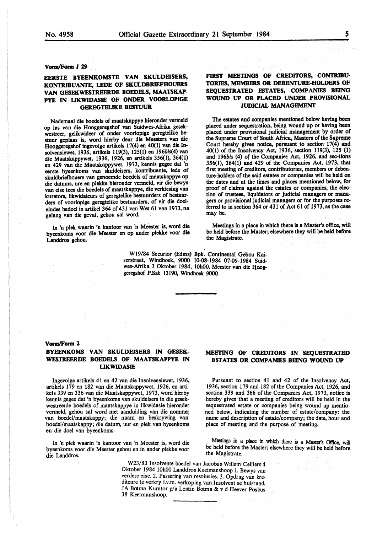# **Vorm/Form J 29**

# **EERSTE BYEENKOMSTE VAN SKULDBISER.S, KONTR.IBUANTE,** LEDE **OF SKULDBRIEFHOUER.S VAN GESEKWESTREERDE BOEDELS, MAATSKAP-PYE** IN **LIKWIDASIE OF ONDER VOORLOPIGE GER.EGTELIKE BESTUUR**

Nademaal die boedels of maatskappye hieronder vermeld op las van die Hooggeregshof van Suidwes-Afrika gesekwestreer, gelikwideer of onder voorlopige geregtelike bestuur geplaas is, word hierby deur die Meesters van die Hooggeregshof ingevolge artikels 17(4) en 40(1) van die Insolvensiewet, 1936, artikels 119(3), 125(1) en 196bls(4) van die Maatskappywet, 1936, 1926, en artikels 356(1), 364(1) en 429 van die Maatskappywet, 1973, kennis gegee dat 'n eerste byeenkoms van skuldeisers, kontribuante, lede of skuldbriefhouers van genoemde boedels of maatskappye op die datums, ure en plekke hieronder vermeld, vir die bewys van eise teen die boedels of maatskappye, die verkiesing van kurators, likwidateurs of geregtelike bestuurders of bestuurders of voorlopige geregtelike bestuurders, of vir die doeleindes bedoel in artikel 364 of 431 van Wet 61 van 1973, na gelang van die geval, gehou sal word.

In 'n plek waarin 'n kantoor van 'n Meester is, word die byeenkoms voor die Meester en op ander plekke voor die Landdros gehou.

# FIRST MEETINGS OF CREDITORS, CONTRIBU-**TORIES, MEMBERS OR DEBENTURE-HOLDERS OF SEQUESTRATED ESTATES, COMPANIES BEING WOUND UP OR. PLACED UNDER PROVISIONAL JUDICIAL MANAGEMENT**

The estates and companies mentioned below having been placed under sequestration, being wound up or having been placed under provisional judicial management by order of the Supreme Court of South Africa, Masters of the Supreme Court hereby given notice, pursuant to section  $17(4)$  and 40(1) of the Insolvency Act, 1936, section 119(3), 125 (1) and 196bis (4) of the Companies Act, 1926, and sec-tions 356(1), 364(1) and 429 of the Companies Act, 1973, that first meeting of creditors, contributories, members or debenture-holders of the said estates or companies will be held on the dates and at the times and places mentioned below, for proof of claims against the estates or companies, the election of trustees, liquidators or judicial managers or managers or provisional judicial managers or for the purposes referred to in section 364 or 431 of Act 61 of 1973, as the case may be.

Meetings in a place in which there is a Master's office, will be held before the Master; elsewhere they will be held before the Magistrate.

W19/84 Securior (Edms) Bpk. Continental Gebou Kaiserstraat, Windhoek, 9000 10-08-1984 07-09-1984 Suidwes-Afrika 3 Oktober 1984, 10h00, Meester van die Hooggeregshof P.Sak 13190, Windhoek 9000.

#### **Vorm/Form 2**

# **BYEBNKOMS VAN SKULDEISERS** IN **GESEK-**WESTREERDE BOEDELS OF MAATSKAPPYE IN **LIKWIDASIE**

Ingevolge artikels 41 en 42 van die Insolvensiewet, 1936, artikels 179 en 182 van die Maatskappywet, 1926, en artikels 339 en 336 van die Maatskappywet, 1973, word hierby kennis gegee dat 'n byeenkoms van skuldeisers in die gesekwestreerde boedels of maatskappye in likwidasie hieronder vermeld, gehou sal word met aanduiding van die nommer van boedel/maatskappy; die naam en beskrywing van boedel/maatskappy; die datum, uur en plek van byeenkoms en die doe! van byeenkoms.

In 'n plek waarin 'n kantoor van 'n Meester is, word die byeenkoms voor die Meester gehou en in ander plekke voor die Landdros.

# **MEETING OF CREDITORS IN SEQUESTRATED ESTATES OR COMPANIES BEING WOUND UP**

Pursuant to section 41 and 42 of the Insolvency Act, 1936, section 179 and 182 of the Companies Act, 1926, and section 339 and 366 of the Companies Act, 1973, notice is hereby given that a meeting of creditors will be held in the sequestrated estate or companies being wound up mentioned below, indicating the number of estate/company: the name and description of estate/company; the date, hour and place of meeting and the purpose of meeting.

Meetings in a place in which there is a Master's Office, will be held before the Master; elsewhere they will be held before the Magistrate.

W23/83 Insolvente boedel van Jacobus Willem Celliers 4 Oktober 1984 10h00 Landdros Keetmanshoop 1. Bewys van verdere eise. 2. Passering van resolusies. 3. Opdrag van krediteure te verkry i.v.m. verkoping van Insolvent se huisraad JA Botma Kurator p/a Lentin Botma & v d Heever Posbus 38 Keetmanshoop.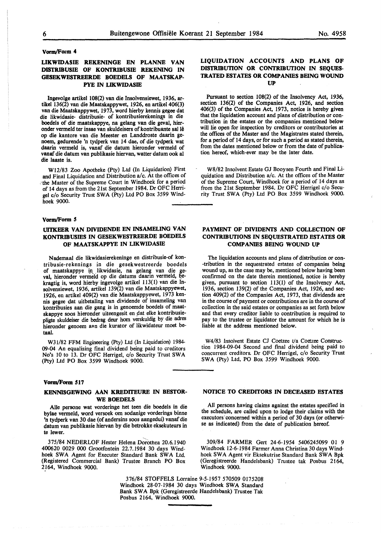#### **Vorm/Form 4**

# **LIKWIDASIE REKENINGE EN PLANNE VAN**  DISTRIBUSIE OF KONTRIBUSIE REKENING IN **GESEKWESTREERDE BOEDELS OF MAATSKAP-PYE IN LIKWIDASIB**

Ingevolge artikel 108(2) van die Insolvensiewet, 1936, artikel 136{2) van die Maatskappywet, 1926, en artikel 406(3) van die Maatskappywet, 1973, word hierby kennis gegee dat die likwidasie- distribusie- of kontribusierekening\_s in die boedels of die maatskappye, na gelang van die geval, hieronder vermeld ter insae van skuldeisers of kontribuante sal le op die kantore van die Meester en Landdroste daarin genoem, gedurende 'n tydperk van 14 dae, of die tydperk wat daarin vermeld is, vanaf die datum hieronder vermeld of vanaf die datum van publikasie hiervan, watter datum ook al die Jaaste is.

W12/83 Zoo Apotheke {Pty) Ltd (In Liquidation) First and Final Liquidation and Distribution a/c. At the offices of :the Master of the Supreme Court in Windhoek for a period of 14 days as from the 21st September 1984. Dr OFC Herrigel c/o Security Trust SWA (Pty) Ltd PO Box 3599 Windhoek 9000.

#### **Vorm/Form 5**

# **UITKEER VAN DIVIDENDE EN INSAMELING VAN KONTRIBUSIBS IN GESEKWESTREERDE BOEDELS OF MAATSKAPPYE IN LIKWIDASIE**

Nademaal die likwidasierekeninge en distribusie-of kontribusie-rekenings in die gesekwestreerde boedels of maatskappye in likwidasie, na gelang van die geval, hieronder vermeld op die datums daarin vermeld, bekragtig is, word hierby ingevolge artikel 113(1) van die Insolvensiewet, 1936, artikel 139(2) van die Maatskappyewet, 1926, en artikel 409(2) van die Maatskappyewet, 1973 kennis gegee dat uitbetaling van dividende of insameling van kontribusies aan die gang is in genoemde boedels of maatskappye soos hieronder uiteengesit en dat elke kontribusiepligte skuldeiser die bedrag deur horn verskuldig by die adres hieronder genoem aan die kurator of likwidateur moet betaal.

W31/82 FFM Engineering (Pty) Ltd (In Liquidation) 1984- 09-04 An equalising final dividend being paid to creditors No's 10 to 13. Dr OFC Herrigel, c/o Security Trust SW A (Pty) Ltd PO Box 3599 Windhoek 9000.

#### **Vorm/Form 517**

# **KENNISGEVvlNG AAN KREDITEURE** IN **BESTOR-WE BOEDELS**

Alie persone wat vorderinge het teen die boedels in die bylae vermeld, word versoek om sodanige vorderings binne 'n tydperk van 30 dae (of andersins soos aangedui) vanaf die datum van publikasie hiervan by die betrokke eksekuteurs in te !ewer.

375/84 NEDERLOF Hester Helena Dorothea 20.6.1940 400620 0029 000 Grootfontein 22.7.1984 30 days Windhoek SWA Agent for Executer Standard Bank SWA Ltd. (Registered Commercial Bank) Trustee Branch PO Box 2\_164, Windhoek 9000.

# **LIQUIDATION ACCOUNTS AND PLANS OF DISTRIBUTION OR CONTRIBUTION IN SEQUES-TRATED ESTATES OR COMPANIES BEING WOUND UP**

Pursuant to section 108(2) of the Insolvency Act, 1936, section 136(2) of the Companies Act, 1926, and section 406(3) of the Companies Act, 1973, notice is hereby **given**  that the liquidation account and plans of distribution or contribution in the estates or the companies mentioned below will lie open for inspection by creditors or contributories at the offices of the Master and the Magistrates stated therein, for a period of 14 days, or for such a period as stated therein, from the dates mentioned below or from the date of publication hereof, which-ever may be the later date.

W8/82 Insolvent Estate GJ Booysen Fourth and Final Liquidation and Distribution a/c. At the offices of the Master of the Supreme Court, Windhoek for a period of 14 days as from the 21st September 1984. Dr OFC Herrigel c/o Security Trust SWA (Pty) Ltd PO Box 3599 Windhoek 9000.

# **PAYMENT OF DIVIDENTS AND COLLECTION OF CONTRIBUTIONS IN SEQUESTRATED ESTATES OR COMPANIBS BEING WOUND UP**

The liquidation accounts and plans of distribution or con- ·tribution in the sequestrated estates of companies being wound up, as the case may be, mentioned below having been confirmed on the date therein mentioned, notice is hereby given, pursuant to section 113(1) of the Insolvency Act, 1936, section 139(2) of the Companies Act, 1926, and section 409(2) of the Companies Act, 1973, that dividends are in the course of payment or contributions are in the course of collection in the said estates or companies as set forth below and that every creditor liable to contribution is required to pay to the trustee or liquidator the amount for which he is liable at the address mentioned below.

W4/83 Insolvent Estate CJ Coetzee t/a Coetzee Construction 1984-09-04 Second and fmal dividend being paid to concurrent creditors. Dr OFC Herrigel, c/o Security Trust SWA (Pty) Ltd, PO Box 3599 Windhoek 9000.

### **NOTICE TO CREDITORS IN DECEASED ESTATES**

All persons having claims against the estates specified in the schedule, are called upon to lodge their claims with the executors concerned within a period of 30 days (or otherwise as indicated) from the date of publication hereof.

309/84 FARMER Gert 24-6-1954 5406245099 01 9 Windhoek 12-6-1984 Farmer Anna Christina 30 days Windhoek SWA Agent vir Eksekutrise Standard Bank SWA Bpk (Geregistreerde Handelsbank) Trustee tak Posbus 2164, Windhoek 9000.

376/84 STOFFELS Lorraine 9-5-1957 570509 0175208 Windhoek 28-07-1984 30 days Windhoek SWA Standard Bank SW A Bpk (Geregistreerde Handelsbank) Trustee Tak Posbus 2164, Windhoek 9000.